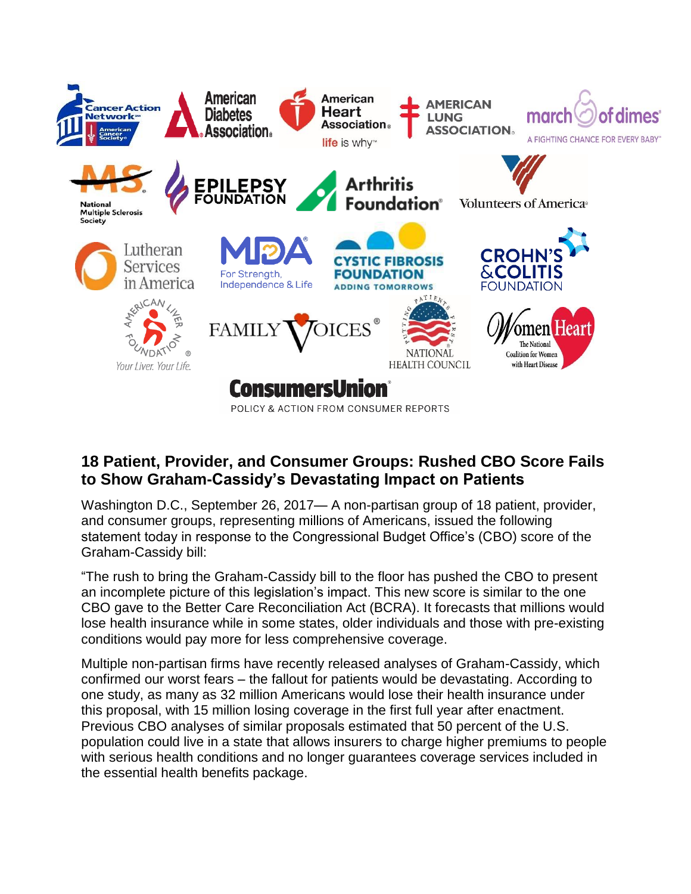

## **18 Patient, Provider, and Consumer Groups: Rushed CBO Score Fails to Show Graham-Cassidy's Devastating Impact on Patients**

Washington D.C., September 26, 2017— A non-partisan group of 18 patient, provider, and consumer groups, representing millions of Americans, issued the following statement today in response to the Congressional Budget Office's (CBO) score of the Graham-Cassidy bill:

"The rush to bring the Graham-Cassidy bill to the floor has pushed the CBO to present an incomplete picture of this legislation's impact. This new score is similar to the one CBO gave to the Better Care Reconciliation Act (BCRA). It forecasts that millions would lose health insurance while in some states, older individuals and those with pre-existing conditions would pay more for less comprehensive coverage.

Multiple non-partisan firms have recently released analyses of Graham-Cassidy, which confirmed our worst fears – the fallout for patients would be devastating. According to one study, as many as 32 million Americans would lose their health insurance under this proposal, with 15 million losing coverage in the first full year after enactment. Previous CBO analyses of similar proposals estimated that 50 percent of the U.S. population could live in a state that allows insurers to charge higher premiums to people with serious health conditions and no longer guarantees coverage services included in the essential health benefits package.